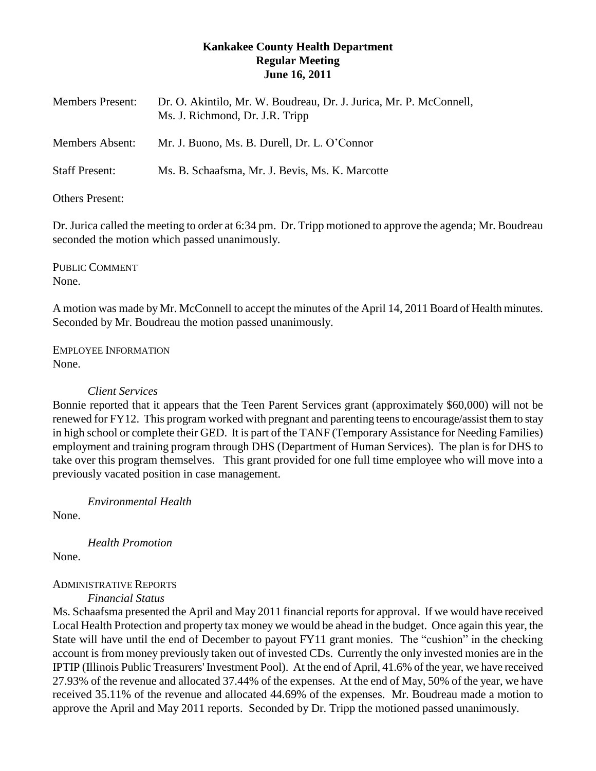# **Kankakee County Health Department Regular Meeting June 16, 2011**

| <b>Members Present:</b> | Dr. O. Akintilo, Mr. W. Boudreau, Dr. J. Jurica, Mr. P. McConnell,<br>Ms. J. Richmond, Dr. J.R. Tripp |
|-------------------------|-------------------------------------------------------------------------------------------------------|
| <b>Members Absent:</b>  | Mr. J. Buono, Ms. B. Durell, Dr. L. O'Connor                                                          |
| <b>Staff Present:</b>   | Ms. B. Schaafsma, Mr. J. Bevis, Ms. K. Marcotte                                                       |

## Others Present:

Dr. Jurica called the meeting to order at 6:34 pm. Dr. Tripp motioned to approve the agenda; Mr. Boudreau seconded the motion which passed unanimously.

PUBLIC COMMENT None.

A motion was made by Mr. McConnell to accept the minutes of the April 14, 2011 Board of Health minutes. Seconded by Mr. Boudreau the motion passed unanimously.

EMPLOYEE INFORMATION None.

## *Client Services*

Bonnie reported that it appears that the Teen Parent Services grant (approximately \$60,000) will not be renewed for FY12. This program worked with pregnant and parenting teens to encourage/assist them to stay in high school or complete their GED. It is part of the TANF (Temporary Assistance for Needing Families) employment and training program through DHS (Department of Human Services). The plan is for DHS to take over this program themselves. This grant provided for one full time employee who will move into a previously vacated position in case management.

*Environmental Health*

None.

*Health Promotion*

None.

# ADMINISTRATIVE REPORTS

*Financial Status*

Ms. Schaafsma presented the April and May 2011 financial reportsfor approval. If we would have received Local Health Protection and property tax money we would be ahead in the budget. Once again this year, the State will have until the end of December to payout FY11 grant monies. The "cushion" in the checking account is from money previously taken out of invested CDs. Currently the only invested monies are in the IPTIP (Illinois Public Treasurers' Investment Pool). At the end of April, 41.6% of the year, we have received 27.93% of the revenue and allocated 37.44% of the expenses. At the end of May, 50% of the year, we have received 35.11% of the revenue and allocated 44.69% of the expenses. Mr. Boudreau made a motion to approve the April and May 2011 reports. Seconded by Dr. Tripp the motioned passed unanimously.